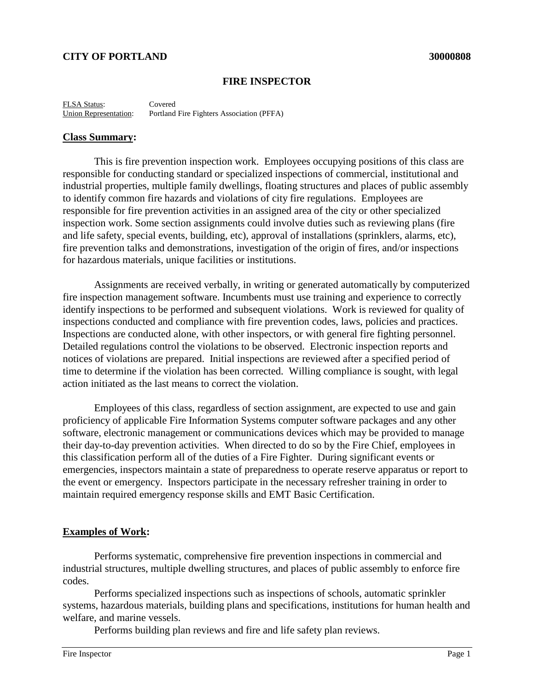## **CITY OF PORTLAND 30000808**

#### **FIRE INSPECTOR**

FLSA Status: Covered Union Representation: Portland Fire Fighters Association (PFFA)

#### **Class Summary:**

This is fire prevention inspection work. Employees occupying positions of this class are responsible for conducting standard or specialized inspections of commercial, institutional and industrial properties, multiple family dwellings, floating structures and places of public assembly to identify common fire hazards and violations of city fire regulations. Employees are responsible for fire prevention activities in an assigned area of the city or other specialized inspection work. Some section assignments could involve duties such as reviewing plans (fire and life safety, special events, building, etc), approval of installations (sprinklers, alarms, etc), fire prevention talks and demonstrations, investigation of the origin of fires, and/or inspections for hazardous materials, unique facilities or institutions.

Assignments are received verbally, in writing or generated automatically by computerized fire inspection management software. Incumbents must use training and experience to correctly identify inspections to be performed and subsequent violations. Work is reviewed for quality of inspections conducted and compliance with fire prevention codes, laws, policies and practices. Inspections are conducted alone, with other inspectors, or with general fire fighting personnel. Detailed regulations control the violations to be observed. Electronic inspection reports and notices of violations are prepared. Initial inspections are reviewed after a specified period of time to determine if the violation has been corrected. Willing compliance is sought, with legal action initiated as the last means to correct the violation.

Employees of this class, regardless of section assignment, are expected to use and gain proficiency of applicable Fire Information Systems computer software packages and any other software, electronic management or communications devices which may be provided to manage their day-to-day prevention activities. When directed to do so by the Fire Chief, employees in this classification perform all of the duties of a Fire Fighter. During significant events or emergencies, inspectors maintain a state of preparedness to operate reserve apparatus or report to the event or emergency. Inspectors participate in the necessary refresher training in order to maintain required emergency response skills and EMT Basic Certification.

#### **Examples of Work:**

Performs systematic, comprehensive fire prevention inspections in commercial and industrial structures, multiple dwelling structures, and places of public assembly to enforce fire codes.

Performs specialized inspections such as inspections of schools, automatic sprinkler systems, hazardous materials, building plans and specifications, institutions for human health and welfare, and marine vessels.

Performs building plan reviews and fire and life safety plan reviews.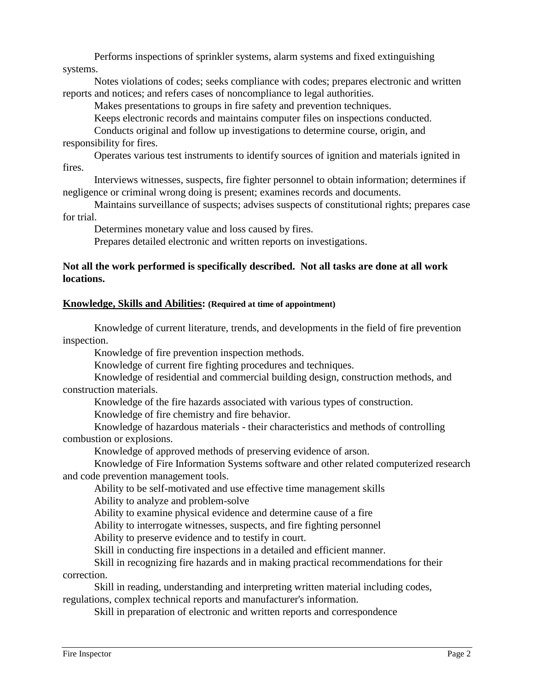Performs inspections of sprinkler systems, alarm systems and fixed extinguishing systems.

Notes violations of codes; seeks compliance with codes; prepares electronic and written reports and notices; and refers cases of noncompliance to legal authorities.

Makes presentations to groups in fire safety and prevention techniques.

Keeps electronic records and maintains computer files on inspections conducted.

Conducts original and follow up investigations to determine course, origin, and responsibility for fires.

Operates various test instruments to identify sources of ignition and materials ignited in fires.

Interviews witnesses, suspects, fire fighter personnel to obtain information; determines if negligence or criminal wrong doing is present; examines records and documents.

Maintains surveillance of suspects; advises suspects of constitutional rights; prepares case for trial.

Determines monetary value and loss caused by fires.

Prepares detailed electronic and written reports on investigations.

## **Not all the work performed is specifically described. Not all tasks are done at all work locations.**

## **Knowledge, Skills and Abilities: (Required at time of appointment)**

Knowledge of current literature, trends, and developments in the field of fire prevention inspection.

Knowledge of fire prevention inspection methods.

Knowledge of current fire fighting procedures and techniques.

Knowledge of residential and commercial building design, construction methods, and construction materials.

Knowledge of the fire hazards associated with various types of construction.

Knowledge of fire chemistry and fire behavior.

Knowledge of hazardous materials - their characteristics and methods of controlling combustion or explosions.

Knowledge of approved methods of preserving evidence of arson.

Knowledge of Fire Information Systems software and other related computerized research and code prevention management tools.

Ability to be self-motivated and use effective time management skills

Ability to analyze and problem-solve

Ability to examine physical evidence and determine cause of a fire

Ability to interrogate witnesses, suspects, and fire fighting personnel

Ability to preserve evidence and to testify in court.

Skill in conducting fire inspections in a detailed and efficient manner.

Skill in recognizing fire hazards and in making practical recommendations for their correction.

Skill in reading, understanding and interpreting written material including codes, regulations, complex technical reports and manufacturer's information.

Skill in preparation of electronic and written reports and correspondence